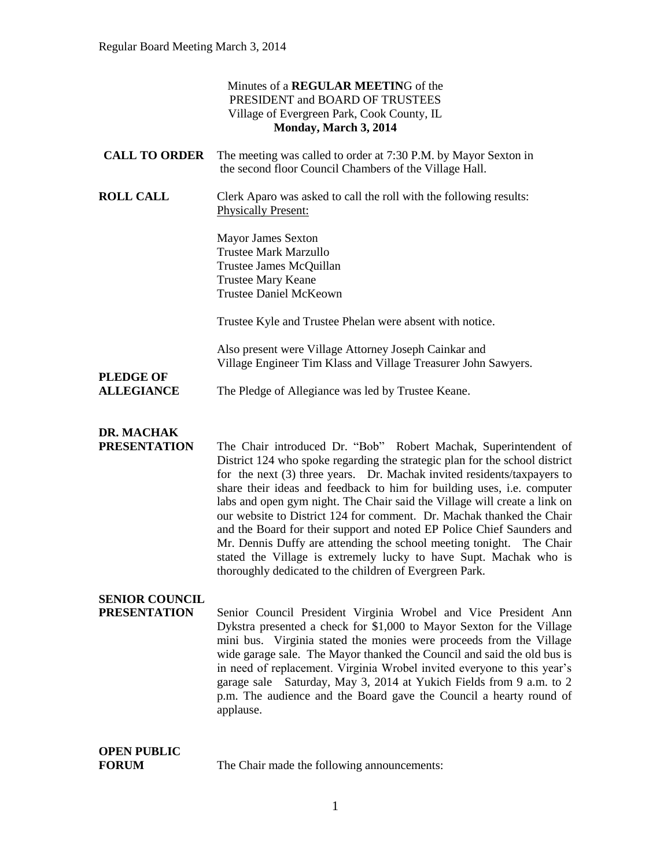|                                          | Minutes of a <b>REGULAR MEETING</b> of the<br>PRESIDENT and BOARD OF TRUSTEES<br>Village of Evergreen Park, Cook County, IL<br>Monday, March 3, 2014                                                                                                                                                                                       |
|------------------------------------------|--------------------------------------------------------------------------------------------------------------------------------------------------------------------------------------------------------------------------------------------------------------------------------------------------------------------------------------------|
| <b>CALL TO ORDER</b>                     | The meeting was called to order at 7:30 P.M. by Mayor Sexton in<br>the second floor Council Chambers of the Village Hall.                                                                                                                                                                                                                  |
| <b>ROLL CALL</b>                         | Clerk Aparo was asked to call the roll with the following results:<br><b>Physically Present:</b>                                                                                                                                                                                                                                           |
|                                          | <b>Mayor James Sexton</b><br><b>Trustee Mark Marzullo</b><br>Trustee James McQuillan<br><b>Trustee Mary Keane</b><br><b>Trustee Daniel McKeown</b>                                                                                                                                                                                         |
|                                          | Trustee Kyle and Trustee Phelan were absent with notice.                                                                                                                                                                                                                                                                                   |
|                                          | Also present were Village Attorney Joseph Cainkar and<br>Village Engineer Tim Klass and Village Treasurer John Sawyers.                                                                                                                                                                                                                    |
| <b>PLEDGE OF</b><br><b>ALLEGIANCE</b>    | The Pledge of Allegiance was led by Trustee Keane.                                                                                                                                                                                                                                                                                         |
| <b>DR. MACHAK</b><br><b>PRESENTATION</b> | The Chair introduced Dr. "Bob" Robert Machak, Superintendent of<br>District 124 who spoke regarding the strategic plan for the school district<br>$f_{\text{tot}}$ and $f_{\text{tot}}$ and $f_{\text{tot}}$ are $f_{\text{tot}}$ and $f_{\text{tot}}$ and $f_{\text{tot}}$ and $f_{\text{tot}}$ and $f_{\text{tot}}$ are $f_{\text{tot}}$ |

District 124 who spoke regarding the strategic plan for the school district for the next (3) three years. Dr. Machak invited residents/taxpayers to share their ideas and feedback to him for building uses, i.e. computer labs and open gym night. The Chair said the Village will create a link on our website to District 124 for comment. Dr. Machak thanked the Chair and the Board for their support and noted EP Police Chief Saunders and Mr. Dennis Duffy are attending the school meeting tonight. The Chair stated the Village is extremely lucky to have Supt. Machak who is thoroughly dedicated to the children of Evergreen Park.

# **SENIOR COUNCIL**

**PRESENTATION** Senior Council President Virginia Wrobel and Vice President Ann Dykstra presented a check for \$1,000 to Mayor Sexton for the Village mini bus. Virginia stated the monies were proceeds from the Village wide garage sale. The Mayor thanked the Council and said the old bus is in need of replacement. Virginia Wrobel invited everyone to this year's garage sale Saturday, May 3, 2014 at Yukich Fields from 9 a.m. to 2 p.m. The audience and the Board gave the Council a hearty round of applause.

# **OPEN PUBLIC**

**FORUM** The Chair made the following announcements: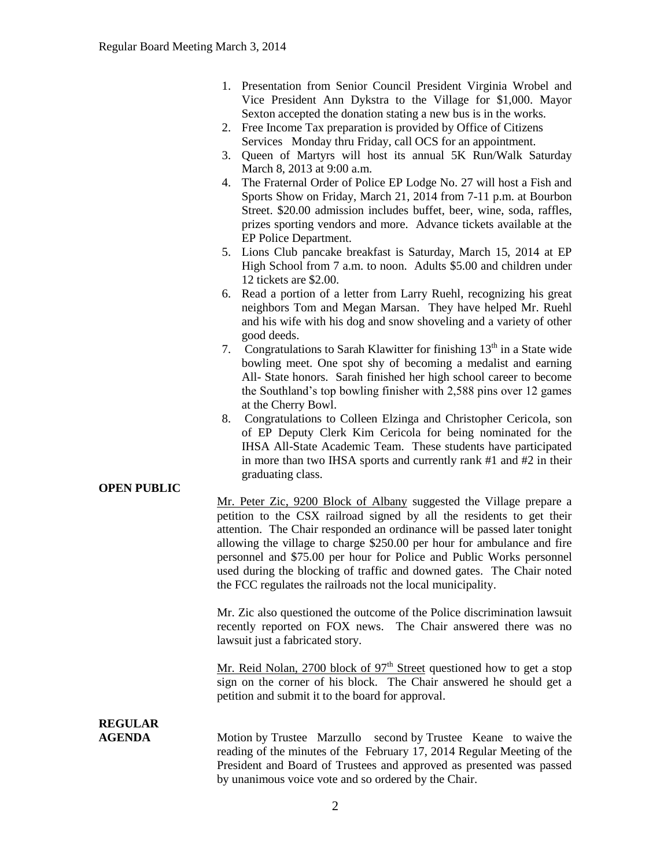- 1. Presentation from Senior Council President Virginia Wrobel and Vice President Ann Dykstra to the Village for \$1,000. Mayor Sexton accepted the donation stating a new bus is in the works.
- 2. Free Income Tax preparation is provided by Office of Citizens Services Monday thru Friday, call OCS for an appointment.
- 3. Queen of Martyrs will host its annual 5K Run/Walk Saturday March 8, 2013 at 9:00 a.m.
- 4. The Fraternal Order of Police EP Lodge No. 27 will host a Fish and Sports Show on Friday, March 21, 2014 from 7-11 p.m. at Bourbon Street. \$20.00 admission includes buffet, beer, wine, soda, raffles, prizes sporting vendors and more. Advance tickets available at the EP Police Department.
- 5. Lions Club pancake breakfast is Saturday, March 15, 2014 at EP High School from 7 a.m. to noon. Adults \$5.00 and children under 12 tickets are \$2.00.
- 6. Read a portion of a letter from Larry Ruehl, recognizing his great neighbors Tom and Megan Marsan. They have helped Mr. Ruehl and his wife with his dog and snow shoveling and a variety of other good deeds.
- 7. Congratulations to Sarah Klawitter for finishing  $13<sup>th</sup>$  in a State wide bowling meet. One spot shy of becoming a medalist and earning All- State honors. Sarah finished her high school career to become the Southland's top bowling finisher with 2,588 pins over 12 games at the Cherry Bowl.
- 8. Congratulations to Colleen Elzinga and Christopher Cericola, son of EP Deputy Clerk Kim Cericola for being nominated for the IHSA All-State Academic Team. These students have participated in more than two IHSA sports and currently rank #1 and #2 in their graduating class.

#### **OPEN PUBLIC**

Mr. Peter Zic, 9200 Block of Albany suggested the Village prepare a petition to the CSX railroad signed by all the residents to get their attention. The Chair responded an ordinance will be passed later tonight allowing the village to charge \$250.00 per hour for ambulance and fire personnel and \$75.00 per hour for Police and Public Works personnel used during the blocking of traffic and downed gates. The Chair noted the FCC regulates the railroads not the local municipality.

Mr. Zic also questioned the outcome of the Police discrimination lawsuit recently reported on FOX news. The Chair answered there was no lawsuit just a fabricated story.

Mr. Reid Nolan, 2700 block of  $97<sup>th</sup>$  Street questioned how to get a stop sign on the corner of his block. The Chair answered he should get a petition and submit it to the board for approval.

**REGULAR** 

**AGENDA** Motion by Trustee Marzullo second by Trustee Keane to waive the reading of the minutes of the February 17, 2014 Regular Meeting of the President and Board of Trustees and approved as presented was passed by unanimous voice vote and so ordered by the Chair.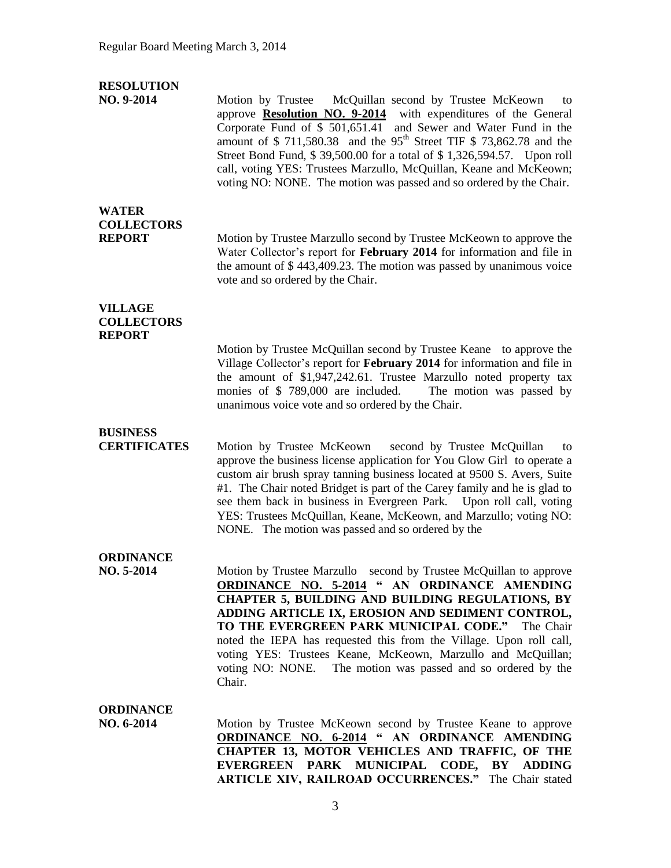### **RESOLUTION**

**NO. 9-2014** Motion by Trustee McQuillan second by Trustee McKeown to approve **Resolution NO. 9-2014** with expenditures of the General Corporate Fund of \$ 501,651.41 and Sewer and Water Fund in the amount of \$ 711,580,38 and the  $95<sup>th</sup>$  Street TIF \$ 73,862,78 and the Street Bond Fund, \$ 39,500.00 for a total of \$ 1,326,594.57. Upon roll call, voting YES: Trustees Marzullo, McQuillan, Keane and McKeown; voting NO: NONE. The motion was passed and so ordered by the Chair.

# **WATER COLLECTORS**

**REPORT** Motion by Trustee Marzullo second by Trustee McKeown to approve the Water Collector's report for **February 2014** for information and file in the amount of \$ 443,409.23. The motion was passed by unanimous voice vote and so ordered by the Chair.

#### **VILLAGE COLLECTORS REPORT**

Motion by Trustee McQuillan second by Trustee Keane to approve the Village Collector's report for **February 2014** for information and file in the amount of \$1,947,242.61. Trustee Marzullo noted property tax monies of \$ 789,000 are included. The motion was passed by unanimous voice vote and so ordered by the Chair.

# **BUSINESS**

**CERTIFICATES** Motion by Trustee McKeown second by Trustee McQuillan to approve the business license application for You Glow Girl to operate a custom air brush spray tanning business located at 9500 S. Avers, Suite #1. The Chair noted Bridget is part of the Carey family and he is glad to see them back in business in Evergreen Park. Upon roll call, voting YES: Trustees McQuillan, Keane, McKeown, and Marzullo; voting NO: NONE. The motion was passed and so ordered by the

## **ORDINANCE**

**NO. 5-2014** Motion by Trustee Marzullo second by Trustee McQuillan to approve **ORDINANCE NO. 5-2014 " AN ORDINANCE AMENDING CHAPTER 5, BUILDING AND BUILDING REGULATIONS, BY ADDING ARTICLE IX, EROSION AND SEDIMENT CONTROL, TO THE EVERGREEN PARK MUNICIPAL CODE."** The Chair noted the IEPA has requested this from the Village. Upon roll call, voting YES: Trustees Keane, McKeown, Marzullo and McQuillan; voting NO: NONE. The motion was passed and so ordered by the Chair.

## **ORDINANCE**

**NO. 6-2014** Motion by Trustee McKeown second by Trustee Keane to approve **ORDINANCE NO. 6-2014 " AN ORDINANCE AMENDING CHAPTER 13, MOTOR VEHICLES AND TRAFFIC, OF THE EVERGREEN PARK MUNICIPAL CODE, BY ADDING ARTICLE XIV, RAILROAD OCCURRENCES."** The Chair stated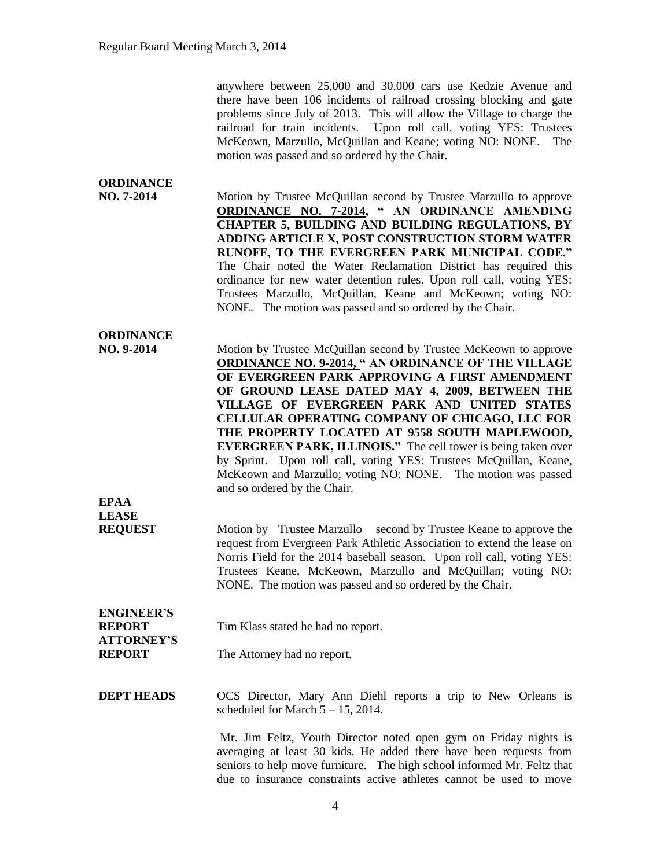anywhere between 25,000 and 30,000 cars use Kedzie Avenue and there have been 106 incidents of railroad crossing blocking and gate problems since July of 2013. This will allow the Village to charge the railroad for train incidents. Upon roll call, voting YES: Trustees McKeown, Marzullo, McQuillan and Keane; voting NO: NONE. The motion was passed and so ordered by the Chair.

### **ORDINANCE NO. 7-2014** Motion by Trustee McQuillan second by Trustee Marzullo to approve **ORDINANCE NO. 7-2014, " AN ORDINANCE AMENDING CHAPTER 5, BUILDING AND BUILDING REGULATIONS, BY ADDING ARTICLE X, POST CONSTRUCTION STORM WATER RUNOFF, TO THE EVERGREEN PARK MUNICIPAL CODE."**  The Chair noted the Water Reclamation District has required this ordinance for new water detention rules. Upon roll call, voting YES: Trustees Marzullo, McQuillan, Keane and McKeown; voting NO: NONE. The motion was passed and so ordered by the Chair.

# **ORDINANCE**

**LEASE** 

**NO. 9-2014** Motion by Trustee McQuillan second by Trustee McKeown to approve **ORDINANCE NO. 9-2014, " AN ORDINANCE OF THE VILLAGE OF EVERGREEN PARK APPROVING A FIRST AMENDMENT OF GROUND LEASE DATED MAY 4, 2009, BETWEEN THE VILLAGE OF EVERGREEN PARK AND UNITED STATES CELLULAR OPERATING COMPANY OF CHICAGO, LLC FOR THE PROPERTY LOCATED AT 9558 SOUTH MAPLEWOOD, EVERGREEN PARK, ILLINOIS."** The cell tower is being taken over by Sprint. Upon roll call, voting YES: Trustees McQuillan, Keane, McKeown and Marzullo; voting NO: NONE. The motion was passed and so ordered by the Chair. **EPAA**

**REQUEST** Motion by Trustee Marzullo second by Trustee Keane to approve the request from Evergreen Park Athletic Association to extend the lease on Norris Field for the 2014 baseball season. Upon roll call, voting YES: Trustees Keane, McKeown, Marzullo and McQuillan; voting NO: NONE. The motion was passed and so ordered by the Chair.

#### **ENGINEER'S REPORT** Tim Klass stated he had no report. **ATTORNEY'S REPORT** The Attorney had no report.

**DEPT HEADS** OCS Director, Mary Ann Diehl reports a trip to New Orleans is scheduled for March  $5 - 15$ , 2014.

> Mr. Jim Feltz, Youth Director noted open gym on Friday nights is averaging at least 30 kids. He added there have been requests from seniors to help move furniture. The high school informed Mr. Feltz that due to insurance constraints active athletes cannot be used to move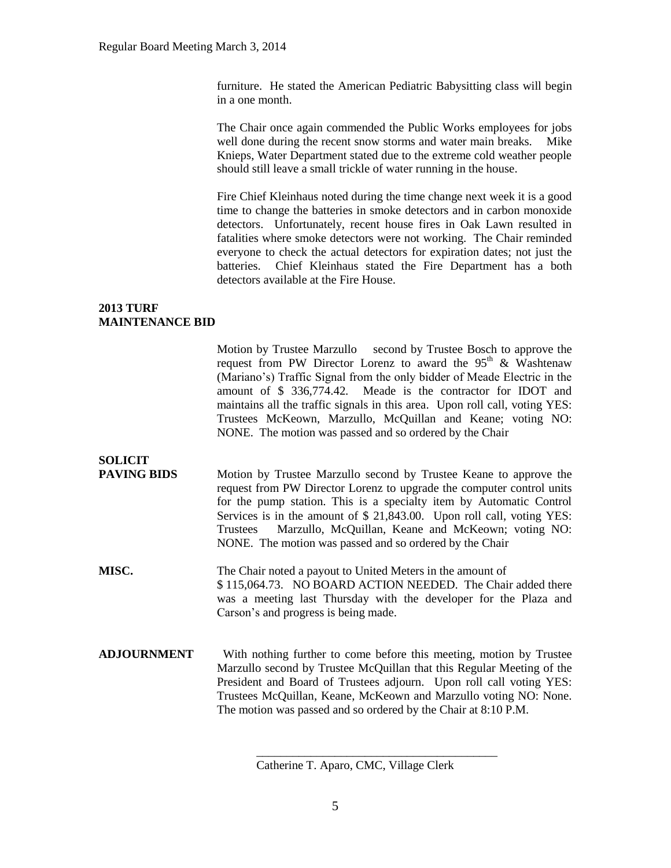furniture. He stated the American Pediatric Babysitting class will begin in a one month.

The Chair once again commended the Public Works employees for jobs well done during the recent snow storms and water main breaks. Mike Knieps, Water Department stated due to the extreme cold weather people should still leave a small trickle of water running in the house.

Fire Chief Kleinhaus noted during the time change next week it is a good time to change the batteries in smoke detectors and in carbon monoxide detectors. Unfortunately, recent house fires in Oak Lawn resulted in fatalities where smoke detectors were not working. The Chair reminded everyone to check the actual detectors for expiration dates; not just the batteries. Chief Kleinhaus stated the Fire Department has a both detectors available at the Fire House.

#### **2013 TURF MAINTENANCE BID**

Motion by Trustee Marzullo second by Trustee Bosch to approve the request from PW Director Lorenz to award the  $95<sup>th</sup>$  & Washtenaw (Mariano's) Traffic Signal from the only bidder of Meade Electric in the amount of \$ 336,774.42. Meade is the contractor for IDOT and maintains all the traffic signals in this area. Upon roll call, voting YES: Trustees McKeown, Marzullo, McQuillan and Keane; voting NO: NONE. The motion was passed and so ordered by the Chair

# **SOLICIT**

**PAVING BIDS** Motion by Trustee Marzullo second by Trustee Keane to approve the request from PW Director Lorenz to upgrade the computer control units for the pump station. This is a specialty item by Automatic Control Services is in the amount of \$ 21,843.00. Upon roll call, voting YES: Trustees Marzullo, McQuillan, Keane and McKeown; voting NO: NONE. The motion was passed and so ordered by the Chair

**MISC.** The Chair noted a payout to United Meters in the amount of \$ 115,064.73. NO BOARD ACTION NEEDED. The Chair added there was a meeting last Thursday with the developer for the Plaza and Carson's and progress is being made.

**ADJOURNMENT** With nothing further to come before this meeting, motion by Trustee Marzullo second by Trustee McQuillan that this Regular Meeting of the President and Board of Trustees adjourn. Upon roll call voting YES: Trustees McQuillan, Keane, McKeown and Marzullo voting NO: None. The motion was passed and so ordered by the Chair at 8:10 P.M.

\_\_\_\_\_\_\_\_\_\_\_\_\_\_\_\_\_\_\_\_\_\_\_\_\_\_\_\_\_\_\_\_\_\_\_\_\_\_\_\_

Catherine T. Aparo, CMC, Village Clerk